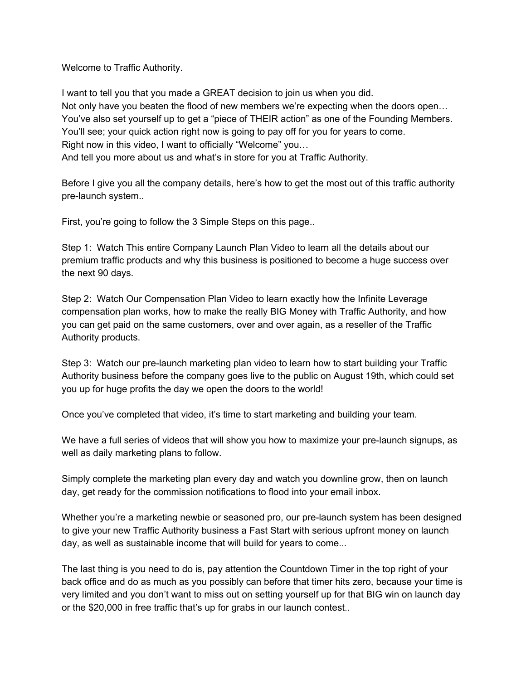Welcome to Traffic Authority.

I want to tell you that you made a GREAT decision to join us when you did. Not only have you beaten the flood of new members we're expecting when the doors open… You've also set yourself up to get a "piece of THEIR action" as one of the Founding Members. You'll see; your quick action right now is going to pay off for you for years to come. Right now in this video, I want to officially "Welcome" you… And tell you more about us and what's in store for you at Traffic Authority.

Before I give you all the company details, here's how to get the most out of this traffic authority pre-launch system..

First, you're going to follow the 3 Simple Steps on this page..

Step 1: Watch This entire Company Launch Plan Video to learn all the details about our premium traffic products and why this business is positioned to become a huge success over the next 90 days.

Step 2: Watch Our Compensation Plan Video to learn exactly how the Infinite Leverage compensation plan works, how to make the really BIG Money with Traffic Authority, and how you can get paid on the same customers, over and over again, as a reseller of the Traffic Authority products.

Step 3: Watch our pre-launch marketing plan video to learn how to start building your Traffic Authority business before the company goes live to the public on August 19th, which could set you up for huge profits the day we open the doors to the world!

Once you've completed that video, it's time to start marketing and building your team.

We have a full series of videos that will show you how to maximize your pre-launch signups, as well as daily marketing plans to follow.

Simply complete the marketing plan every day and watch you downline grow, then on launch day, get ready for the commission notifications to flood into your email inbox.

Whether you're a marketing newbie or seasoned pro, our pre-launch system has been designed to give your new Traffic Authority business a Fast Start with serious upfront money on launch day, as well as sustainable income that will build for years to come...

The last thing is you need to do is, pay attention the Countdown Timer in the top right of your back office and do as much as you possibly can before that timer hits zero, because your time is very limited and you don't want to miss out on setting yourself up for that BIG win on launch day or the \$20,000 in free traffic that's up for grabs in our launch contest..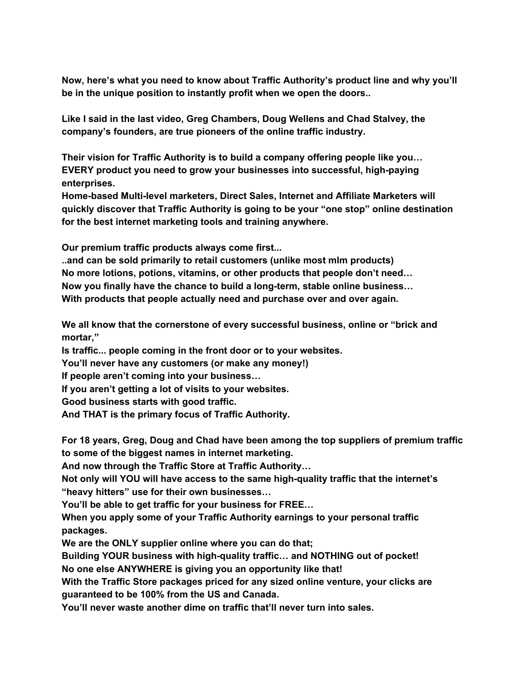**Now, here's what you need to know about Traffic Authority's product line and why you'll be in the unique position to instantly profit when we open the doors..**

**Like I said in the last video, Greg Chambers, Doug Wellens and Chad Stalvey, the company's founders, are true pioneers of the online traffic industry.**

**Their vision for Traffic Authority is to build a company offering people like you… EVERY product you need to grow your businesses into successful, high-paying enterprises.**

**Home-based Multi-level marketers, Direct Sales, Internet and Affiliate Marketers will quickly discover that Traffic Authority is going to be your "one stop" online destination for the best internet marketing tools and training anywhere.**

**Our premium traffic products always come first...**

**..and can be sold primarily to retail customers (unlike most mlm products) No more lotions, potions, vitamins, or other products that people don't need… Now you finally have the chance to build a long-term, stable online business… With products that people actually need and purchase over and over again.**

**We all know that the cornerstone of every successful business, online or "brick and mortar,"**

**Is traffic... people coming in the front door or to your websites.**

**You'll never have any customers (or make any money!)**

**If people aren't coming into your business…**

**If you aren't getting a lot of visits to your websites.**

**Good business starts with good traffic.**

**And THAT is the primary focus of Traffic Authority.**

**For 18 years, Greg, Doug and Chad have been among the top suppliers of premium traffic to some of the biggest names in internet marketing.**

**And now through the Traffic Store at Traffic Authority…**

**Not only will YOU will have access to the same high-quality traffic that the internet's "heavy hitters" use for their own businesses…**

**You'll be able to get traffic for your business for FREE…**

**When you apply some of your Traffic Authority earnings to your personal traffic packages.**

**We are the ONLY supplier online where you can do that;**

**Building YOUR business with high-quality traffic… and NOTHING out of pocket! No one else ANYWHERE is giving you an opportunity like that!**

**With the Traffic Store packages priced for any sized online venture, your clicks are guaranteed to be 100% from the US and Canada.**

**You'll never waste another dime on traffic that'll never turn into sales.**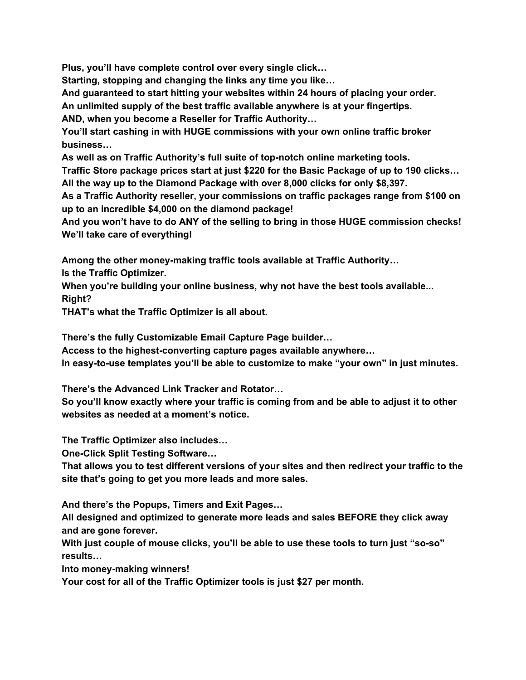**Plus, you'll have complete control over every single click…**

**Starting, stopping and changing the links any time you like…**

**And guaranteed to start hitting your websites within 24 hours of placing your order.**

**An unlimited supply of the best traffic available anywhere is at your fingertips.**

**AND, when you become a Reseller for Traffic Authority…**

**You'll start cashing in with HUGE commissions with your own online traffic broker business…**

**As well as on Traffic Authority's full suite of top-notch online marketing tools.**

**Traffic Store package prices start at just \$220 for the Basic Package of up to 190 clicks… All the way up to the Diamond Package with over 8,000 clicks for only \$8,397.**

**As a Traffic Authority reseller, your commissions on traffic packages range from \$100 on up to an incredible \$4,000 on the diamond package!**

**And you won't have to do ANY of the selling to bring in those HUGE commission checks! We'll take care of everything!**

**Among the other money-making traffic tools available at Traffic Authority…**

**Is the Traffic Optimizer.**

**When you're building your online business, why not have the best tools available... Right?**

**THAT's what the Traffic Optimizer is all about.**

**There's the fully Customizable Email Capture Page builder…**

**Access to the highest-converting capture pages available anywhere…**

**In easy-to-use templates you'll be able to customize to make "your own" in just minutes.**

**There's the Advanced Link Tracker and Rotator…**

**So you'll know exactly where your traffic is coming from and be able to adjust it to other websites as needed at a moment's notice.**

**The Traffic Optimizer also includes…**

**One-Click Split Testing Software…**

**That allows you to test different versions of your sites and then redirect your traffic to the site that's going to get you more leads and more sales.**

**And there's the Popups, Timers and Exit Pages…**

**All designed and optimized to generate more leads and sales BEFORE they click away and are gone forever.**

**With just couple of mouse clicks, you'll be able to use these tools to turn just "so-so" results…**

**Into money-making winners!**

**Your cost for all of the Traffic Optimizer tools is just \$27 per month.**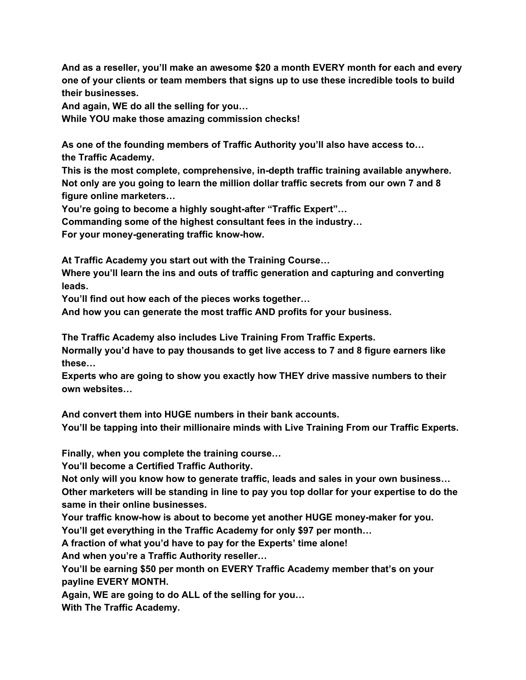**And as a reseller, you'll make an awesome \$20 a month EVERY month for each and every one of your clients or team members that signs up to use these incredible tools to build their businesses.**

**And again, WE do all the selling for you…**

**While YOU make those amazing commission checks!**

**As one of the founding members of Traffic Authority you'll also have access to… the Traffic Academy.**

**This is the most complete, comprehensive, in-depth traffic training available anywhere. Not only are you going to learn the million dollar traffic secrets from our own 7 and 8 figure online marketers…**

**You're going to become a highly sought-after "Traffic Expert"…**

**Commanding some of the highest consultant fees in the industry…**

**For your money-generating traffic know-how.**

**At Traffic Academy you start out with the Training Course…**

**Where you'll learn the ins and outs of traffic generation and capturing and converting leads.**

**You'll find out how each of the pieces works together…**

**And how you can generate the most traffic AND profits for your business.**

**The Traffic Academy also includes Live Training From Traffic Experts.**

**Normally you'd have to pay thousands to get live access to 7 and 8 figure earners like these…**

**Experts who are going to show you exactly how THEY drive massive numbers to their own websites…**

**And convert them into HUGE numbers in their bank accounts.**

**You'll be tapping into their millionaire minds with Live Training From our Traffic Experts.**

**Finally, when you complete the training course…**

**You'll become a Certified Traffic Authority.**

**Not only will you know how to generate traffic, leads and sales in your own business… Other marketers will be standing in line to pay you top dollar for your expertise to do the same in their online businesses.**

**Your traffic know-how is about to become yet another HUGE money-maker for you.**

**You'll get everything in the Traffic Academy for only \$97 per month…**

**A fraction of what you'd have to pay for the Experts' time alone!**

**And when you're a Traffic Authority reseller…**

**You'll be earning \$50 per month on EVERY Traffic Academy member that's on your payline EVERY MONTH.**

**Again, WE are going to do ALL of the selling for you…**

**With The Traffic Academy.**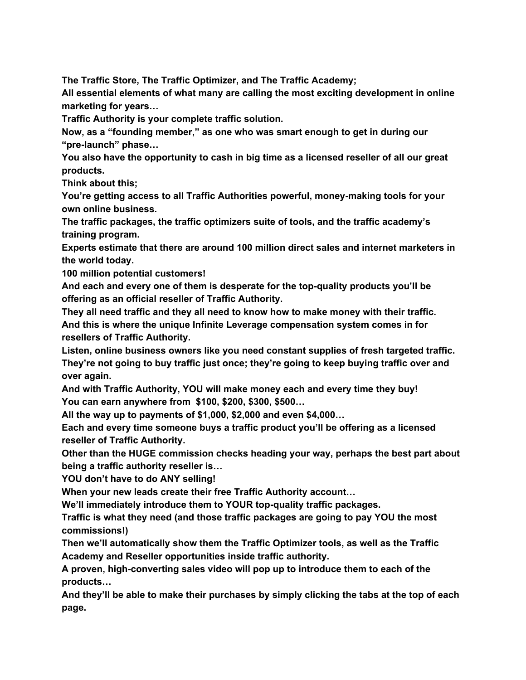**The Traffic Store, The Traffic Optimizer, and The Traffic Academy;**

**All essential elements of what many are calling the most exciting development in online marketing for years…**

**Traffic Authority is your complete traffic solution.**

**Now, as a "founding member," as one who was smart enough to get in during our "pre-launch" phase…**

**You also have the opportunity to cash in big time as a licensed reseller of all our great products.**

**Think about this;**

**You're getting access to all Traffic Authorities powerful, money-making tools for your own online business.**

**The traffic packages, the traffic optimizers suite of tools, and the traffic academy's training program.**

**Experts estimate that there are around 100 million direct sales and internet marketers in the world today.**

**100 million potential customers!**

**And each and every one of them is desperate for the top-quality products you'll be offering as an official reseller of Traffic Authority.**

**They all need traffic and they all need to know how to make money with their traffic. And this is where the unique Infinite Leverage compensation system comes in for resellers of Traffic Authority.**

**Listen, online business owners like you need constant supplies of fresh targeted traffic. They're not going to buy traffic just once; they're going to keep buying traffic over and over again.**

**And with Traffic Authority, YOU will make money each and every time they buy! You can earn anywhere from \$100, \$200, \$300, \$500…**

**All the way up to payments of \$1,000, \$2,000 and even \$4,000…**

**Each and every time someone buys a traffic product you'll be offering as a licensed reseller of Traffic Authority.**

**Other than the HUGE commission checks heading your way, perhaps the best part about being a traffic authority reseller is…**

**YOU don't have to do ANY selling!**

**When your new leads create their free Traffic Authority account…**

**We'll immediately introduce them to YOUR top-quality traffic packages.**

**Traffic is what they need (and those traffic packages are going to pay YOU the most commissions!)**

**Then we'll automatically show them the Traffic Optimizer tools, as well as the Traffic Academy and Reseller opportunities inside traffic authority.**

**A proven, high-converting sales video will pop up to introduce them to each of the products…**

**And they'll be able to make their purchases by simply clicking the tabs at the top of each page.**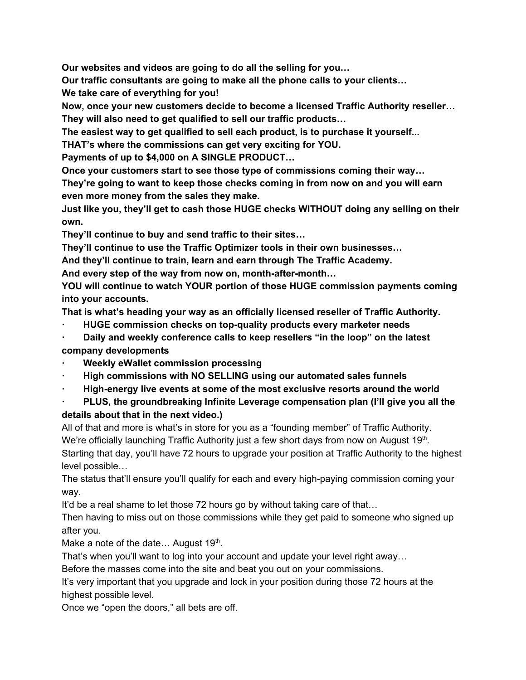**Our websites and videos are going to do all the selling for you…**

**Our traffic consultants are going to make all the phone calls to your clients…**

**We take care of everything for you!**

**Now, once your new customers decide to become a licensed Traffic Authority reseller… They will also need to get qualified to sell our traffic products…**

**The easiest way to get qualified to sell each product, is to purchase it yourself...**

**THAT's where the commissions can get very exciting for YOU.**

**Payments of up to \$4,000 on A SINGLE PRODUCT…**

**Once your customers start to see those type of commissions coming their way…**

**They're going to want to keep those checks coming in from now on and you will earn even more money from the sales they make.**

**Just like you, they'll get to cash those HUGE checks WITHOUT doing any selling on their own.**

**They'll continue to buy and send traffic to their sites…**

**They'll continue to use the Traffic Optimizer tools in their own businesses…**

**And they'll continue to train, learn and earn through The Traffic Academy.**

**And every step of the way from now on, month-after-month…**

**YOU will continue to watch YOUR portion of those HUGE commission payments coming into your accounts.**

**That is what's heading your way as an officially licensed reseller of Traffic Authority.**

**· HUGE commission checks on top-quality products every marketer needs**

**· Daily and weekly conference calls to keep resellers "in the loop" on the latest company developments**

- **· Weekly eWallet commission processing**
- **· High commissions with NO SELLING using our automated sales funnels**
- **· High-energy live events at some of the most exclusive resorts around the world**

## **· PLUS, the groundbreaking Infinite Leverage compensation plan (I'll give you all the details about that in the next video.)**

All of that and more is what's in store for you as a "founding member" of Traffic Authority. We're officially launching Traffic Authority just a few short days from now on August 19<sup>th</sup>. Starting that day, you'll have 72 hours to upgrade your position at Traffic Authority to the highest level possible…

The status that'll ensure you'll qualify for each and every high-paying commission coming your way.

It'd be a real shame to let those 72 hours go by without taking care of that...

Then having to miss out on those commissions while they get paid to someone who signed up after you.

Make a note of the date... August  $19<sup>th</sup>$ .

That's when you'll want to log into your account and update your level right away…

Before the masses come into the site and beat you out on your commissions.

It's very important that you upgrade and lock in your position during those 72 hours at the highest possible level.

Once we "open the doors," all bets are off.